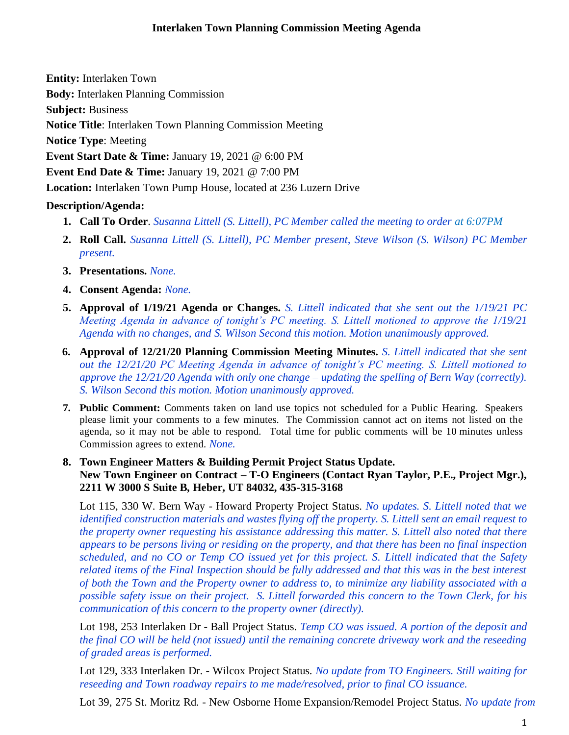**Entity:** Interlaken Town

**Body:** Interlaken [Planning Commission](http://www.utah.gov/pmn/sitemap/publicbody/5029.html)

**Subject:** Business

**Notice Title**: Interlaken Town Planning Commission Meeting

**Notice Type**: Meeting

**Event Start Date & Time:** January 19, 2021 @ 6:00 PM

**Event End Date & Time:** January 19, 2021 @ 7:00 PM

**Location:** Interlaken Town Pump House, located at 236 Luzern Drive

## **Description/Agenda:**

- **1. Call To Order**. *Susanna Littell (S. Littell), PC Member called the meeting to order at 6:07PM*
- **2. Roll Call.** *Susanna Littell (S. Littell), PC Member present, Steve Wilson (S. Wilson) PC Member present.*
- **3. Presentations.** *None.*
- **4. Consent Agenda:** *None.*
- **5. Approval of 1/19/21 Agenda or Changes.** *S. Littell indicated that she sent out the 1/19/21 PC Meeting Agenda in advance of tonight's PC meeting. S. Littell motioned to approve the 1/19/21 Agenda with no changes, and S. Wilson Second this motion. Motion unanimously approved.*
- **6. Approval of 12/21/20 Planning Commission Meeting Minutes.** *S. Littell indicated that she sent out the 12/21/20 PC Meeting Agenda in advance of tonight's PC meeting. S. Littell motioned to approve the 12/21/20 Agenda with only one change – updating the spelling of Bern Way (correctly). S. Wilson Second this motion. Motion unanimously approved.*
- **7. Public Comment:** Comments taken on land use topics not scheduled for a Public Hearing. Speakers please limit your comments to a few minutes. The Commission cannot act on items not listed on the agenda, so it may not be able to respond. Total time for public comments will be 10 minutes unless Commission agrees to extend. *None.*
- **8. Town Engineer Matters & Building Permit Project Status Update. New Town Engineer on Contract – T-O Engineers (Contact Ryan Taylor, P.E., Project Mgr.), 2211 W 3000 S Suite B, Heber, UT 84032, 435-315-3168**

Lot 115, 330 W. Bern Way - Howard Property Project Status. *No updates. S. Littell noted that we identified construction materials and wastes flying off the property. S. Littell sent an email request to the property owner requesting his assistance addressing this matter. S. Littell also noted that there appears to be persons living or residing on the property, and that there has been no final inspection scheduled, and no CO or Temp CO issued yet for this project. S. Littell indicated that the Safety related items of the Final Inspection should be fully addressed and that this was in the best interest of both the Town and the Property owner to address to, to minimize any liability associated with a possible safety issue on their project. S. Littell forwarded this concern to the Town Clerk, for his communication of this concern to the property owner (directly).* 

Lot 198, 253 Interlaken Dr - Ball Project Status. *Temp CO was issued. A portion of the deposit and the final CO will be held (not issued) until the remaining concrete driveway work and the reseeding of graded areas is performed.* 

Lot 129, 333 Interlaken Dr. - Wilcox Project Status. *No update from TO Engineers. Still waiting for reseeding and Town roadway repairs to me made/resolved, prior to final CO issuance.* 

Lot 39, 275 St. Moritz Rd. - New Osborne Home Expansion/Remodel Project Status. *No update from*